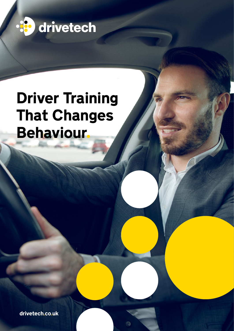

# Driver Training That Changes **Behaviour**

drivetech.co.uk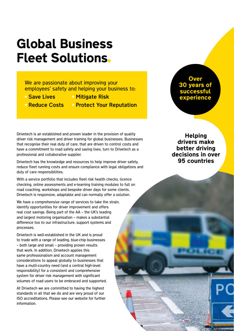## Global Business Fleet Solutions

### We are passionate about improving your employees' safety and helping your business to:

- 
- Save Lives  **Mitigate Risk**
- 
- Reduce Costs Protect Your Reputation

Drivetech is an established and proven leader in the provision of quality driver risk management and driver training for global businesses. Businesses that recognise their real duty of care, that are driven to control costs and have a commitment to road safety and saving lives, turn to Drivetech as a professional and collaborative supplier.

Drivetech has the knowledge and resources to help improve driver safety, reduce fleet running costs and ensure compliance with legal obligations and duty of care responsibilities.

With a service portfolio that includes fleet risk health checks, licence checking, online assessments and e-learning training modules to full on road coaching, workshops and bespoke driver days for some clients, Drivetech is responsive, adaptable and can normally offer a solution.

We have a comprehensive range of services to take the strain, identify opportunities for driver improvement and offers real cost savings. Being part of the AA – the UK's leading and largest motoring organisation – makes a substantial difference too to our infrastructure, support systems and processes.

Drivetech is well-established in the UK and is proud to trade with a range of leading, blue-chip businesses – both large and small – providing proven results that work. In addition, Drivetech applies this same professionalism and account management considerations to appeal globally to businesses that have a multi-country need (and a central high-level responsibility) for a consistent and comprehensive system for driver risk management with significant volumes of road users to be embraced and supported.

At Drivetech we are committed to having the highest standards in all that we do and are very proud of our ISO accreditations. Please see our website for further information.

**Helping** drivers make better driving decisions in over 95 countries

### **Over** 30 years of successful experience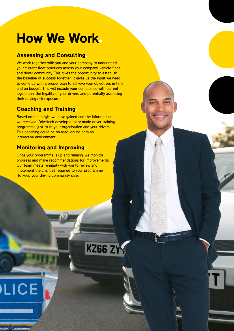## How We Work

## Assessing and Consulting

We work together with you and your company to understand your current fleet practices across your company, vehicle fleet and driver community. This gives the opportunity to establish the baseline of success together. It gives us the input we need to come up with a proper plan to achieve your objectives in time and on budget. This will include your compliance with current legislation, the legality of your drivers and potentially assessing their driving risk exposure.

## Coaching and Training

Based on the insight we have gained and the information we received, Drivetech develop a tailor-made driver training programme, just to fit your organisation and your drivers. This coaching could be on-road, online or in an interactive environment.

## Monitoring and Improving

LICE

Once your programme is up and running, we monitor progress and make recommendations for improvements. Our team meets regularly with you to review and implement the changes required to your programme to keep your driving community safe.

**KZ66 ZY**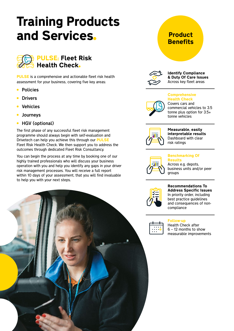## Training Products and Services



## PULSE: Fleet Risk Health Check

PULSE is a comprehensive and actionable fleet risk health assessment for your business, covering five key areas:

- Policies
- $\bullet$ **Drivers**
- Vehicles
- **•** Journeys
- **HGV (optional)**

The first phase of any successful fleet risk management programme should always begin with self-evaluation and Drivetech can help you achieve this through our PULSE Fleet Risk Health Check. We then support you to address the outcomes through dedicated Fleet Risk Consultancy.

You can begin the process at any time by booking one of our highly trained professionals who will discuss your business operation with you and help you identify any gaps in your driver risk management processes. You will receive a full report within 10 days of your assessment, that you will find invaluable to help you with your next steps.



## Product **Benefits**



Identify Compliance & Duty Of Care Issues Across key fleet areas

#### **Comprehensive** Health Check



Covers cars and commercial vehicles to 3.5 tonne plus option for 3.5+ tonne vehicles



Measurable, easily interpretable results Dashboard with clear risk ratings



#### Benchmarking Of Results

Across e.g. depots, business units and/or peer groups



#### Recommendations To Address Specific Issues In priority order, including best practice guidelines and consequences of non-



#### Follow-up

compliance

Health Check after 6 – 12 months to show measurable improvements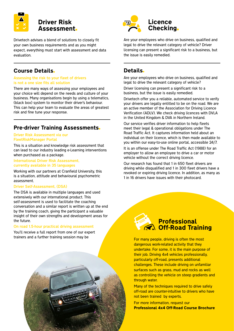

Drivetech advises a blend of solutions to closely fit your own business requirements and as you might expect, everything must start with assessment and data evaluation.

### Course Details

#### Assessing the risk to your fleet of drivers is not a one size fits all solution

There are many ways of assessing your employees and your choice will depend on the needs and culture of your business. Many organisations begin by using a telematics, (black box) system to monitor their driver's behaviour. This can help your team to evaluate the areas of greatest risk and fine tune your response.

## Pre-driver Training Assessments

#### Driver Risk Assessment via our FleetRiskManager Portal

This is a situation and knowledge risk assessment that can lead to our industry leading e-Learning interventions when purchased as a package.

#### International Driver Risk Assessment, currently available in 35 languages

Working with our partners at Cranfield University, this is a situation, attitude and behavioural psychometric assessment.

#### Driver Self-Assessment, (DSA)

The DSA is available in multiple languages and used extensively with our international product. This self-assessment is used to facilitate the coaching conversation and a similar report is written up at the end by the training coach, giving the participant a valuable insight of their own strengths and development areas for the future.

#### On road 1.5-hour practical driving assessment

You'll receive a full report from one of our expert trainers and a further training session may be





Are your employees who drive on business, qualified and legal to drive the relevant category of vehicle? Driver licensing can present a significant risk to a business, but the issue is easily remedied.

### Details

Are your employees who drive on business, qualified and legal to drive the relevant category of vehicle?

Driver licensing can present a significant risk to a business, but the issue is easily remedied.

Drivetech offer you a reliable, automated service to verify your drivers are legally entitled to be on the road. We are an active member of the Association for Driving Licence Verification (ADLV). We check driving licences with DVLA in the United Kingdom & DVA in Northern Ireland.

Our service verifies driver information to help fleets meet their legal & operational obligations under The Road Traffic Act. It captures information held about an individual on their licence, which is then made available to you within our easy-to-use online portal, accessible 24/7.

It is an offense under The Road Traffic Act (1988) for an employer to allow an employee to drive a car or motor vehicle without the correct driving licence.

Our research has found that 1 in 650 fleet drivers are driving while disqualified and 1 in 300 fleet drivers have a revoked or expiring driving licence. In addition, as many as 1 in 16 drivers have issues with their photocard.



For many people, driving is often the most dangerous work-related activity that they undertake. For some, it is the main purpose of their job. Driving 4x4 vehicles professionally, particularly off-road, presents additional challenges. These include driving on unfamiliar surfaces such as grass, mud and rocks as well as controlling the vehicle on steep gradients and through water.

Many of the techniques required to drive safely off-road are counter-intuitive to drivers who have not been trained by experts.

For more information, request our Professional 4x4 Off-Road Course Brochure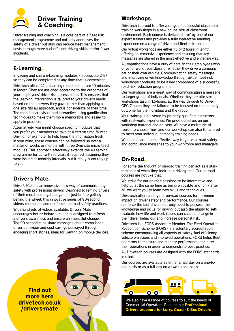

Driver training and coaching is a core part of a fleet risk management programme and not only addresses the safety of a driver but also can reduce fleet management costs through more fuel-efficient driving skills and/or fewer incidents.

## E-Learning

Engaging and sharp e-Learning modules – accessible 24/7 so they can be completed at any time that is convenient.

Drivetech offers 24 e-Learning modules that are 10 minutes in length. They are assigned according to the outcomes of your employees' driver risk assessments. This ensures that the learning intervention is tailored to your driver's needs based on the answers they gave, rather than applying a one size fits all approach, and is considerate of their time. The modules are visual and interactive, using gamification techniques to make them more memorable and easier to apply in practice.

Alternatively, you might choose specific modules that you prefer your members to take at a certain time, Winter Driving, for example. To help keep the information fresh in your mind, these courses can be followed up over a matter of weeks or months with three 2-minute micro teach modules. This approach effectively extends the e-Learning programme for up to three years if required, assuming they were issued at monthly intervals, but it really is entirely up to you.

## Driver's Mate

Driver's Mate is an innovative new way of communicating safety with professional drivers. Designed to remind drivers of their moral and legal obligations just before getting behind the wheel, this innovative series of 90-second videos champions and reinforces on-road safety practices. With hundreds of videos available, Driver's Mate encourages better behaviours and is designed to refresh a driver's awareness and ensure an impactful change. The 90-second clips share messages about compliance, driver behaviour and cost savings portrayed through engaging short stories, ideal for viewing on mobile devices.

Find out more here drivetech.co.uk /drivers-mate

## Workshops

Drivetech is proud to offer a range of successful classroom training workshops in a new online 'virtual classroom' environment. Each course is delivered 'live' by one of our expert trainers and provides a fully interactive learning experience on a range of driver and fleet risk topics.

Our virtual workshops are either 1.5 or 2 hours in length, offering an immersive experience and ensuring that key messages are shared in the most effective and engaging way.

All organisations have a duty of care to their employees who drive for work, regardless of whether they drive a company car or their own vehicle. Communicating safety messages and improving driver knowledge through virtual fleet risk workshops continues to be a key component of a successful road risk reduction programme.

Our workshops are a great way of communicating a message to larger group of individuals. Whether they are bite-size workshops lasting 1.5-hours, all the way through to Driver CPC 7-hours they are tailored to be focused on the learning outcome for the individual and the group.

Your training is delivered by properly qualified instructors with real-world experience. We pride ourselves on our workshop material and delivery. We have a multitude of topics to choose from and our workshop can also to tailored to meet your individual company training needs.

Workshops are a cost-effective way to get vital road safety and compliance messages to your workforce and managers.

## On-Road

For some the thought of on-road training can act as a stark reminder of when they took their driving test. Our on-road courses are not like that.

We strive for our on-road sessions to be informative and helpful, at the same time as being enjoyable and fun – after all, we want you to learn new skills and techniques.

Drivetech offers a range of on-road courses for maximum impact on driver safety and performance. Our courses reinforce the fact drivers not only need to possess the knowledge and skills for driving, but also the ability to selfevaluate how life and work issues can cause a change in their driver behaviour and increase personal risk.

Drivetech is a FORS Associate Member. The Fleet Operator Recognition Scheme (FORS) is a voluntary accreditation scheme encompassing all aspects of safety, fuel efficiency, vehicle emissions and improved operations. FORS helps fleet operators to measure and monitor performance and alter their operations in order to demonstrate best practice.

All Drivetech courses are designed with the FORS standards in mind.

Our courses are available as either a half day on a one-toone basis or as a full day on a two-to-one basis.



We also have a range of courses to suit the needs of Commercial Operators. Request our Professional Drivers brochure for Lorry, Coach & Bus Drivers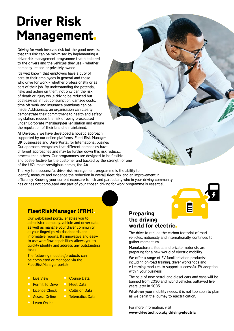# Driver Risk Management

Driving for work involves risk but the good news is, that this risk can be minimised by implementing a driver risk management programme that is tailored to the drivers and the vehicles they use – whether company, leased or privately-owned.

It's well known that employers have a duty of care to their employees in general and those who drive for work – whether professionally or as part of their job. By understanding the potential risks and acting on them, not only can the risk of death or injury while driving be reduced but cost-savings in fuel consumption, damage costs, time off work and insurance premiums can be made. Additionally, an organisation can clearly demonstrate their commitment to health and safety legislation, reduce the risk of being prosecuted under Corporate Manslaughter legislation and ensure the reputation of their brand is maintained.

At Drivetech, we have developed a holistic approach, supported by our online platforms, Fleet Risk Manager UK businesses and DriverPortal for International busines. Our approach recognises that different companies have different approaches and may be further down this risk reduction process than others. Our programmes are designed to be flexible and cost-effective for the customer and backed by the strength of one of the UK's most prestigious names, the AA.

The key to a successful driver risk management programme is the ability to identify, measure and evidence the reduction in overall fleet risk and an improvement in efficiency. Knowing your current exposure to risk and particularly who in your driving community has or has not completed any part of your chosen driving for work programme is essential.



## FleetRiskManager (FRM)

Our web-based portal, enables you to administer company, vehicle and driver data, as well as manage your driver community at your fingertips via dashboards and informative reports. Its innovative and easyto-use workflow capabilities allows you to quickly identify and address any outstanding tasks.

The following modules/products can be completed or managed via the FleetRiskManager portal:

- **C** Live View
- **Course Data**
- Permit To Drive **Calcence Check**
- **•** Fleet Data **Collision Data**

**•** Telematics Data

- **Assess Online**
- **•** Learn Online

## Preparing the driving world for electric

The drive to reduce the carbon footprint of road vehicles, nationally and internationally, continues to gather momentum.

Manufacturers, fleets and private motorists are preparing for a new world of electric mobility.

We offer a range of EV familiarisation products; including on-road training, driver workshops and e-Learning modules to support successful EV adoption within your business.

The sale of new petrol and diesel cars and vans will be banned from 2030 and hybrid vehicles outlawed five years later in 2035.

Whatever your mobility needs, it is not too soon to plan as we begin the journey to electrification.

For more information, visit www.drivetech.co.uk/ driving-electric